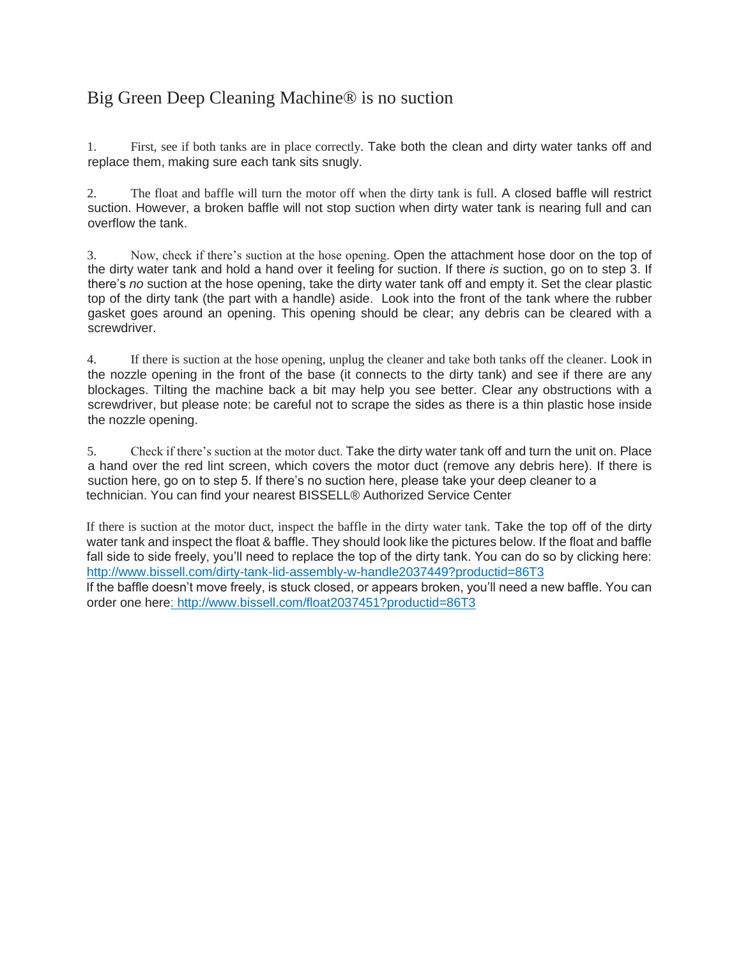## Big Green Deep Cleaning Machine® is no suction

1. First, see if both tanks are in place correctly. Take both the clean and dirty water tanks off and replace them, making sure each tank sits snugly.

2. The float and baffle will turn the motor off when the dirty tank is full. A closed baffle will restrict suction. However, a broken baffle will not stop suction when dirty water tank is nearing full and can overflow the tank.

3. Now, check if there's suction at the hose opening. Open the attachment hose door on the top of the dirty water tank and hold a hand over it feeling for suction. If there *is* suction, go on to step 3. If there's *no* suction at the hose opening, take the dirty water tank off and empty it. Set the clear plastic top of the dirty tank (the part with a handle) aside. Look into the front of the tank where the rubber gasket goes around an opening. This opening should be clear; any debris can be cleared with a screwdriver.

4. If there is suction at the hose opening, unplug the cleaner and take both tanks off the cleaner. Look in the nozzle opening in the front of the base (it connects to the dirty tank) and see if there are any blockages. Tilting the machine back a bit may help you see better. Clear any obstructions with a screwdriver, but please note: be careful not to scrape the sides as there is a thin plastic hose inside the nozzle opening.

5. Check if there's suction at the motor duct. Take the dirty water tank off and turn the unit on. Place a hand over the red lint screen, which covers the motor duct (remove any debris here). If there is suction here, go on to step 5. If there's no suction here, please take your deep cleaner to a technician. You can find your nearest BISSELL® Authorized Service Center

If there is suction at the motor duct, inspect the baffle in the dirty water tank. Take the top off of the dirty water tank and inspect the float & baffle. They should look like the pictures below. If the float and baffle fall side to side freely, you'll need to replace the top of the dirty tank. You can do so by clicking here[:](https://www.bissell.com/dirty-tank-lid-assembly-w-handle-2037449?productid=86T3) [http://www.bissell.com/dirty-tank-lid-assembly-w-handle2037449?productid=86T3](https://www.bissell.com/dirty-tank-lid-assembly-w-handle-2037449?productid=86T3)

If the baffle doesn't move freely, is stuck closed, or appears broken, you'll need a new baffle. You can order one her[e:](https://www.bissell.com/float-for-the-big-green-dirty-water-tank-2037451?productid=86T3) [http://www.bissell.com/float2037451?productid=86T3](https://www.bissell.com/float-for-the-big-green-dirty-water-tank-2037451?productid=86T3)